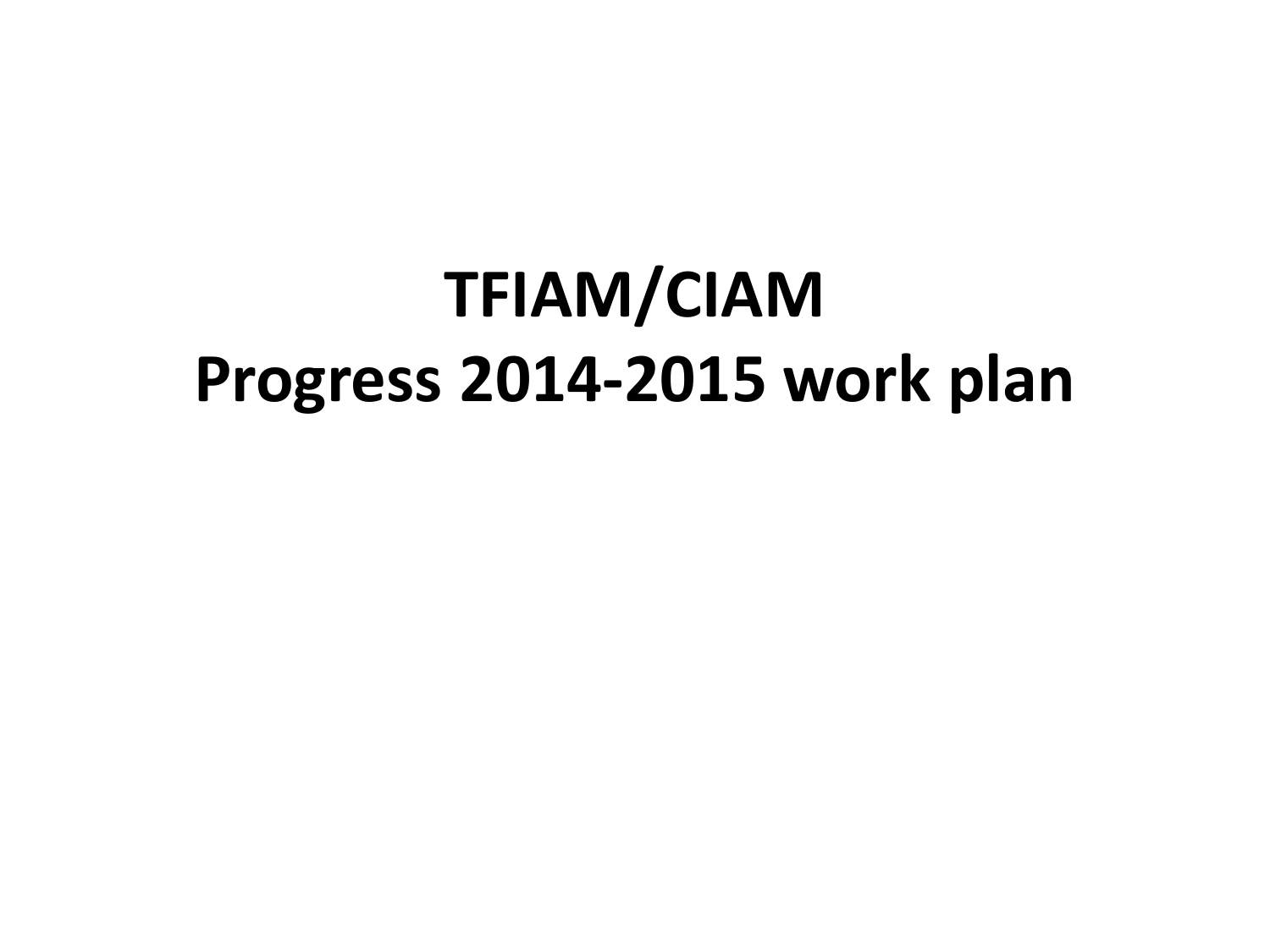## **TFIAM/CIAM Progress 2014-2015 work plan**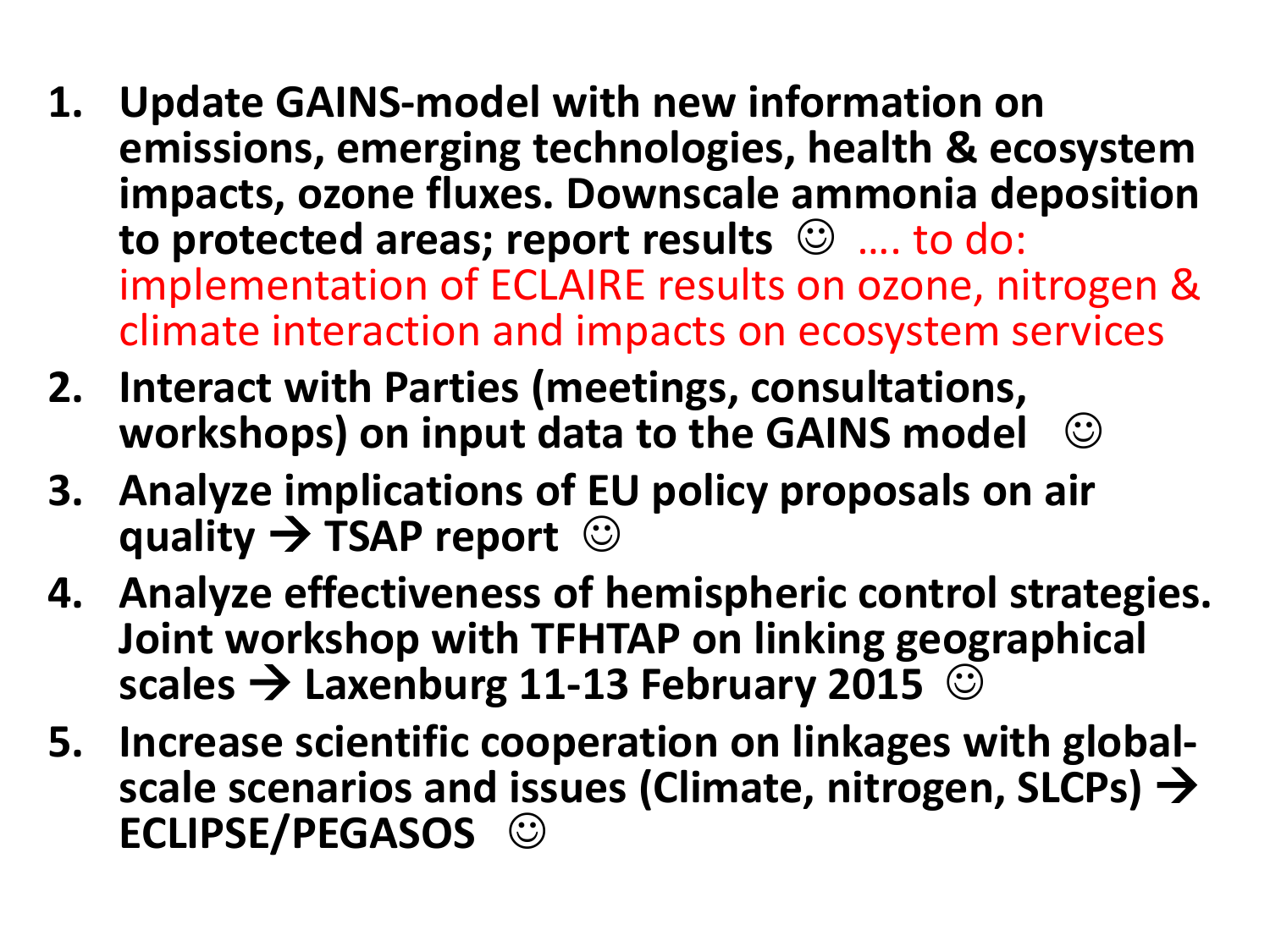- **1. Update GAINS-model with new information on emissions, emerging technologies, health & ecosystem impacts, ozone fluxes. Downscale ammonia deposition to protected areas; report results** …. to do: implementation of ECLAIRE results on ozone, nitrogen & climate interaction and impacts on ecosystem services
- **2. Interact with Parties (meetings, consultations, workshops) on input data to the GAINS model**
- **3. Analyze implications of EU policy proposals on air quality → TSAP report**  $\odot$
- **4. Analyze effectiveness of hemispheric control strategies. Joint workshop with TFHTAP on linking geographical scales Laxenburg 11-13 February 2015**
- **5. Increase scientific cooperation on linkages with global- scale scenarios and issues (Climate, nitrogen, SLCPs) ECLIPSE/PEGASOS**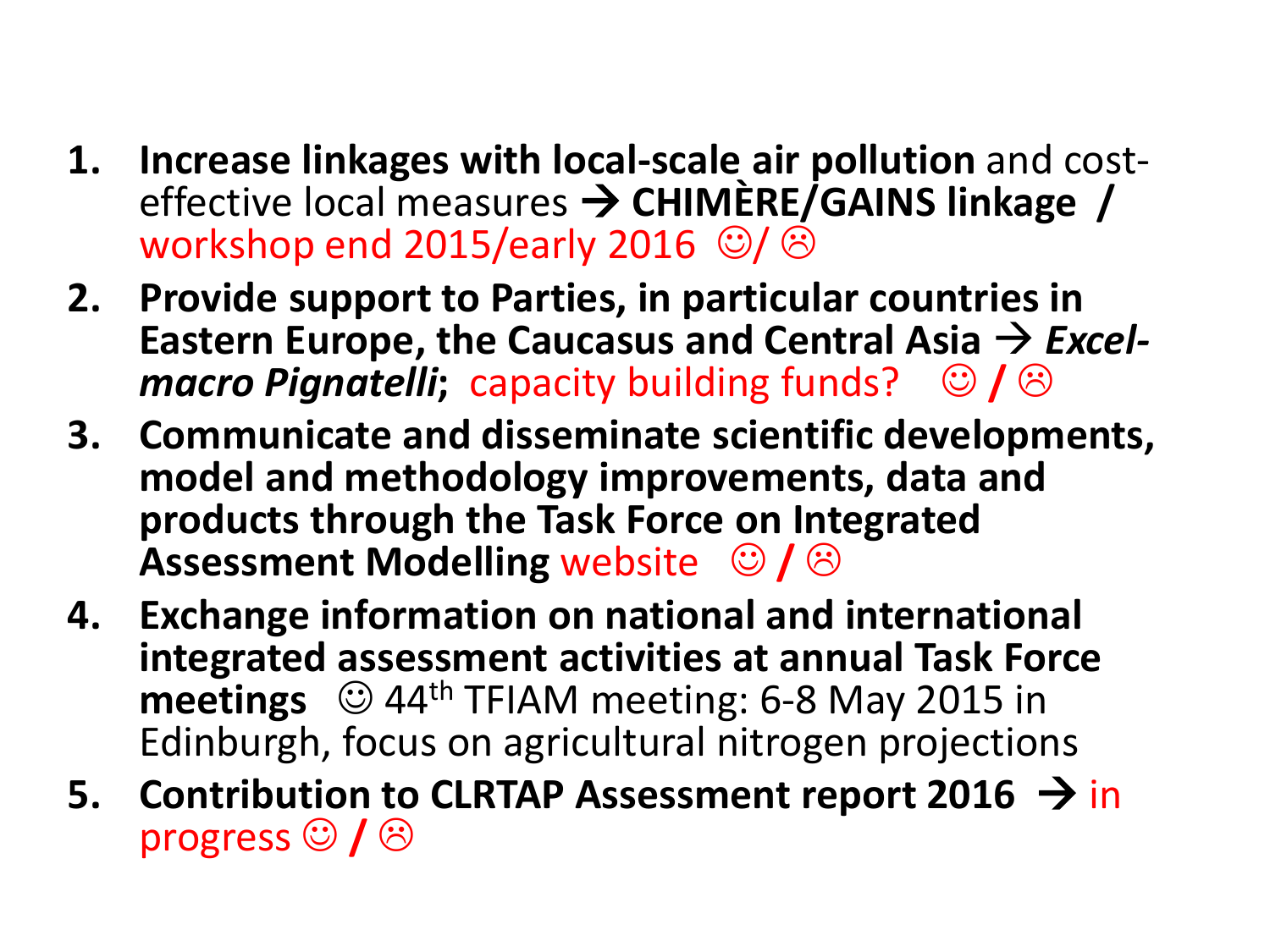- **1. Increase linkages with local-scale air pollution** and cost- effective local measures **CHIMÈRE/GAINS linkage /**  workshop end 2015/early 2016  $\circledcirc$ / $\circledcirc$
- **2. Provide support to Parties, in particular countries in Eastern Europe, the Caucasus and Central Asia**  $\rightarrow$ *Excel- macro Pignatelli*; capacity building funds?  $\circ$  /  $\circ$
- **3. Communicate and disseminate scientific developments, model and methodology improvements, data and products through the Task Force on Integrated Assessment Modelling website**  $\bigcirc$  **/**  $\bigcirc$
- **4. Exchange information on national and international integrated assessment activities at annual Task Force meetings**  $\odot$  44<sup>th</sup> TFIAM meeting: 6-8 May 2015 in Edinburgh, focus on agricultural nitrogen projections
- **5.** Contribution to CLRTAP Assessment report 2016 → in progress  $\odot$  /  $\odot$